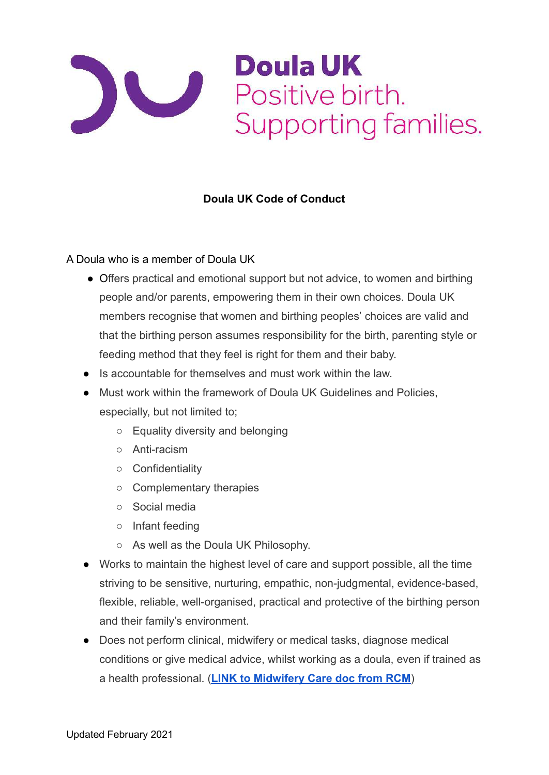

## **Doula UK Code of Conduct**

## A Doula who is a member of Doula UK

- Offers practical and emotional support but not advice, to women and birthing people and/or parents, empowering them in their own choices. Doula UK members recognise that women and birthing peoples' choices are valid and that the birthing person assumes responsibility for the birth, parenting style or feeding method that they feel is right for them and their baby.
- Is accountable for themselves and must work within the law.
- Must work within the framework of Doula UK Guidelines and Policies, especially, but not limited to;
	- Equality diversity and belonging
	- Anti-racism
	- Confidentiality
	- Complementary therapies
	- Social media
	- Infant feeding
	- As well as the Doula UK Philosophy.
- Works to maintain the highest level of care and support possible, all the time striving to be sensitive, nurturing, empathic, non-judgmental, evidence-based, flexible, reliable, well-organised, practical and protective of the birthing person and their family's environment.
- Does not perform clinical, midwifery or medical tasks, diagnose medical conditions or give medical advice, whilst working as a doula, even if trained as a health professional. (**[LINK to Midwifery Care doc from RCM](https://www.rcm.org.uk/media/2354/high-quality-midwifery-care.pdf)**)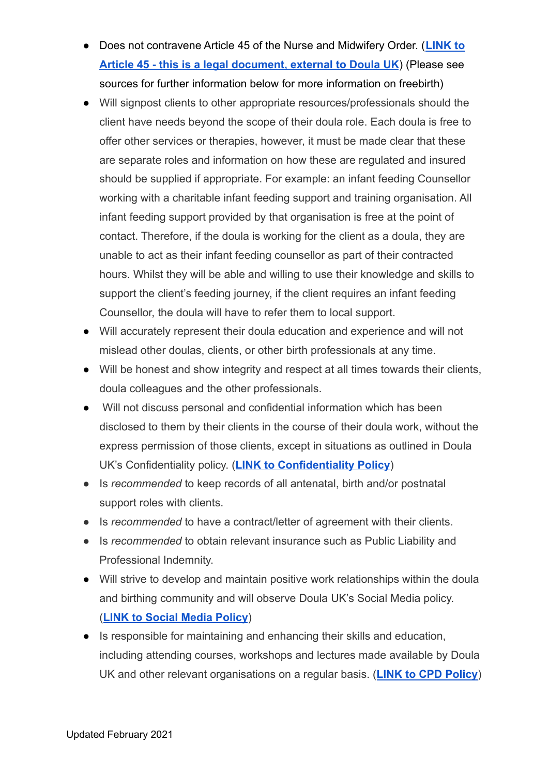- Does not contravene Article 45 of the Nurse and Midwifery Order. (**[LINK to](https://www.legislation.gov.uk/uksi/2002/253/article/45/made) [Article 45 - this is a legal document, external to Doula UK](https://www.legislation.gov.uk/uksi/2002/253/article/45/made)**) (Please see sources for further information below for more information on freebirth)
- Will signpost clients to other appropriate resources/professionals should the client have needs beyond the scope of their doula role. Each doula is free to offer other services or therapies, however, it must be made clear that these are separate roles and information on how these are regulated and insured should be supplied if appropriate. For example: an infant feeding Counsellor working with a charitable infant feeding support and training organisation. All infant feeding support provided by that organisation is free at the point of contact. Therefore, if the doula is working for the client as a doula, they are unable to act as their infant feeding counsellor as part of their contracted hours. Whilst they will be able and willing to use their knowledge and skills to support the client's feeding journey, if the client requires an infant feeding Counsellor, the doula will have to refer them to local support.
- Will accurately represent their doula education and experience and will not mislead other doulas, clients, or other birth professionals at any time.
- Will be honest and show integrity and respect at all times towards their clients, doula colleagues and the other professionals.
- Will not discuss personal and confidential information which has been disclosed to them by their clients in the course of their doula work, without the express permission of those clients, except in situations as outlined in Doula UK's Confidentiality policy. (**[LINK to Confidentiality Policy](https://doula.org.uk/confidentiality-policy-and-equal-opportunities-statement/)**)
- Is *recommended* to keep records of all antenatal, birth and/or postnatal support roles with clients.
- Is *recommended* to have a contract/letter of agreement with their clients.
- Is *recommended* to obtain relevant insurance such as Public Liability and Professional Indemnity.
- Will strive to develop and maintain positive work relationships within the doula and birthing community and will observe Doula UK's Social Media policy. (**[LINK to Social Media Policy](https://doula.org.uk/wp-content/uploads/2016/11/DUK-SM-Guidelines-and-Complaints-Procedure-2016.pdf)**)
- Is responsible for maintaining and enhancing their skills and education, including attending courses, workshops and lectures made available by Doula UK and other relevant organisations on a regular basis. (**[LINK to CPD Policy](https://doula.org.uk/members-page/requirements-regarding-continuing-personal-and-professional-development/)**)